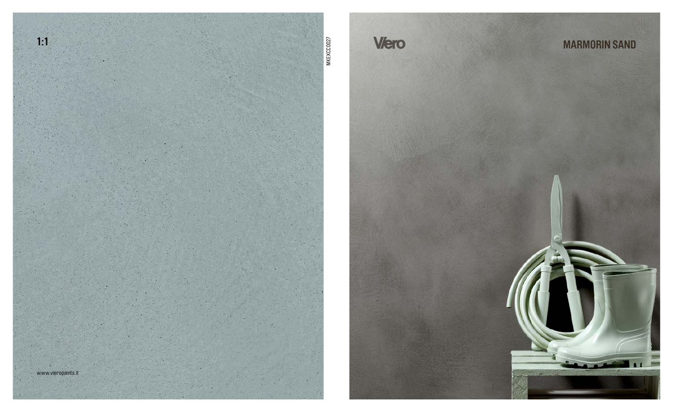



## **MARMORIN SAND**